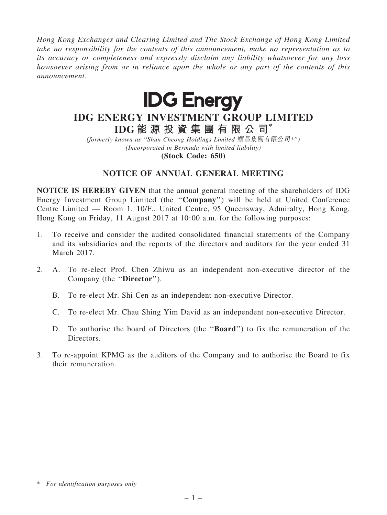*Hong Kong Exchanges and Clearing Limited and The Stock Exchange of Hong Kong Limited take no responsibility for the contents of this announcement, make no representation as to its accuracy or completeness and expressly disclaim any liability whatsoever for any loss howsoever arising from or in reliance upon the whole or any part of the contents of this announcement.*



# IDG ENERGY INVESTMENT GROUP LIMITED IDG 能 源 投 資 集 團 有 限 公 司\*

*(formerly known as* ''*Shun Cheong Holdings Limited* 順昌集團有限公司*\**''*) (Incorporated in Bermuda with limited liability)*

(Stock Code: 650)

# NOTICE OF ANNUAL GENERAL MEETING

NOTICE IS HEREBY GIVEN that the annual general meeting of the shareholders of IDG Energy Investment Group Limited (the ''Company'') will be held at United Conference Centre Limited — Room 1, 10/F., United Centre, 95 Queensway, Admiralty, Hong Kong, Hong Kong on Friday, 11 August 2017 at 10:00 a.m. for the following purposes:

- 1. To receive and consider the audited consolidated financial statements of the Company and its subsidiaries and the reports of the directors and auditors for the year ended 31 March 2017.
- 2. A. To re-elect Prof. Chen Zhiwu as an independent non-executive director of the Company (the "Director").
	- B. To re-elect Mr. Shi Cen as an independent non-executive Director.
	- C. To re-elect Mr. Chau Shing Yim David as an independent non-executive Director.
	- D. To authorise the board of Directors (the ''Board'') to fix the remuneration of the Directors.
- 3. To re-appoint KPMG as the auditors of the Company and to authorise the Board to fix their remuneration.

<sup>\*</sup> *For identification purposes only*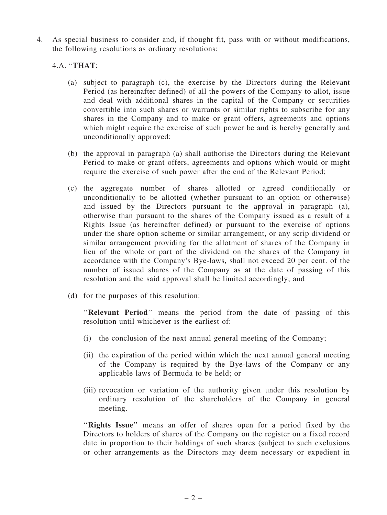4. As special business to consider and, if thought fit, pass with or without modifications, the following resolutions as ordinary resolutions:

### 4.A. ''THAT:

- (a) subject to paragraph (c), the exercise by the Directors during the Relevant Period (as hereinafter defined) of all the powers of the Company to allot, issue and deal with additional shares in the capital of the Company or securities convertible into such shares or warrants or similar rights to subscribe for any shares in the Company and to make or grant offers, agreements and options which might require the exercise of such power be and is hereby generally and unconditionally approved;
- (b) the approval in paragraph (a) shall authorise the Directors during the Relevant Period to make or grant offers, agreements and options which would or might require the exercise of such power after the end of the Relevant Period;
- (c) the aggregate number of shares allotted or agreed conditionally or unconditionally to be allotted (whether pursuant to an option or otherwise) and issued by the Directors pursuant to the approval in paragraph (a), otherwise than pursuant to the shares of the Company issued as a result of a Rights Issue (as hereinafter defined) or pursuant to the exercise of options under the share option scheme or similar arrangement, or any scrip dividend or similar arrangement providing for the allotment of shares of the Company in lieu of the whole or part of the dividend on the shares of the Company in accordance with the Company's Bye-laws, shall not exceed 20 per cent. of the number of issued shares of the Company as at the date of passing of this resolution and the said approval shall be limited accordingly; and
- (d) for the purposes of this resolution:

''Relevant Period'' means the period from the date of passing of this resolution until whichever is the earliest of:

- (i) the conclusion of the next annual general meeting of the Company;
- (ii) the expiration of the period within which the next annual general meeting of the Company is required by the Bye-laws of the Company or any applicable laws of Bermuda to be held; or
- (iii) revocation or variation of the authority given under this resolution by ordinary resolution of the shareholders of the Company in general meeting.

"Rights Issue" means an offer of shares open for a period fixed by the Directors to holders of shares of the Company on the register on a fixed record date in proportion to their holdings of such shares (subject to such exclusions or other arrangements as the Directors may deem necessary or expedient in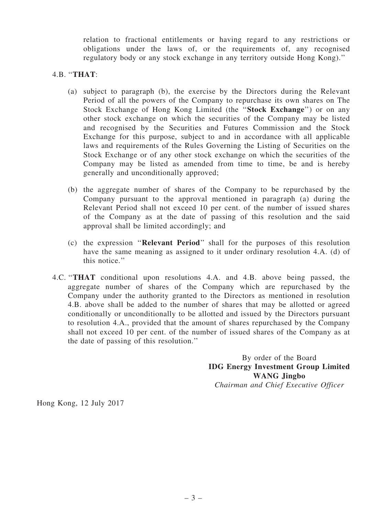relation to fractional entitlements or having regard to any restrictions or obligations under the laws of, or the requirements of, any recognised regulatory body or any stock exchange in any territory outside Hong Kong).''

## 4.B. ''THAT:

- (a) subject to paragraph (b), the exercise by the Directors during the Relevant Period of all the powers of the Company to repurchase its own shares on The Stock Exchange of Hong Kong Limited (the ''Stock Exchange'') or on any other stock exchange on which the securities of the Company may be listed and recognised by the Securities and Futures Commission and the Stock Exchange for this purpose, subject to and in accordance with all applicable laws and requirements of the Rules Governing the Listing of Securities on the Stock Exchange or of any other stock exchange on which the securities of the Company may be listed as amended from time to time, be and is hereby generally and unconditionally approved;
- (b) the aggregate number of shares of the Company to be repurchased by the Company pursuant to the approval mentioned in paragraph (a) during the Relevant Period shall not exceed 10 per cent. of the number of issued shares of the Company as at the date of passing of this resolution and the said approval shall be limited accordingly; and
- (c) the expression ''Relevant Period'' shall for the purposes of this resolution have the same meaning as assigned to it under ordinary resolution 4.A. (d) of this notice.''
- 4.C. ''THAT conditional upon resolutions 4.A. and 4.B. above being passed, the aggregate number of shares of the Company which are repurchased by the Company under the authority granted to the Directors as mentioned in resolution 4.B. above shall be added to the number of shares that may be allotted or agreed conditionally or unconditionally to be allotted and issued by the Directors pursuant to resolution 4.A., provided that the amount of shares repurchased by the Company shall not exceed 10 per cent. of the number of issued shares of the Company as at the date of passing of this resolution.''

By order of the Board IDG Energy Investment Group Limited WANG Jingbo

*Chairman and Chief Executive Officer*

Hong Kong, 12 July 2017